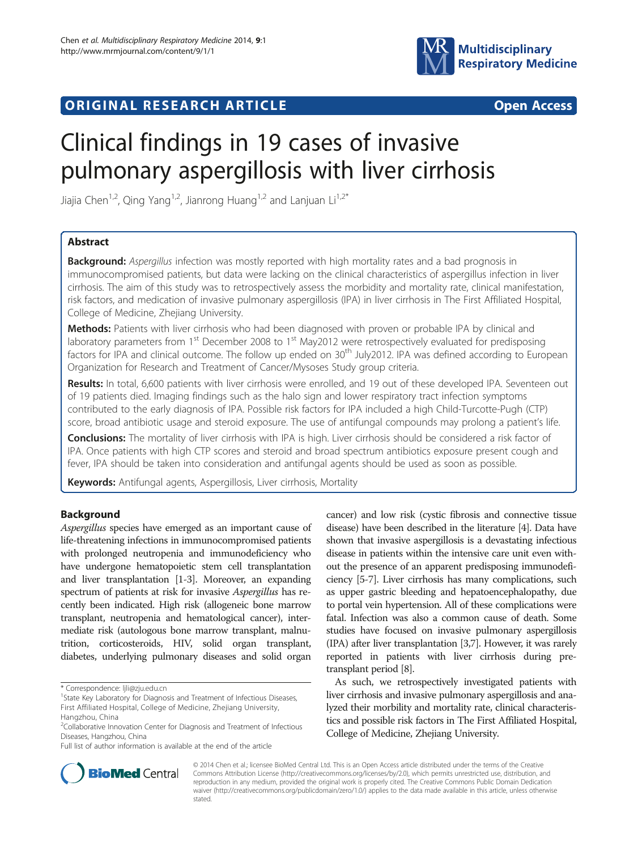

# **ORIGINAL RESEARCH ARTICLE CONSUMING ACCESS**



# Clinical findings in 19 cases of invasive pulmonary aspergillosis with liver cirrhosis

Jiajia Chen<sup>1,2</sup>, Qing Yang<sup>1,2</sup>, Jianrong Huang<sup>1,2</sup> and Lanjuan Li<sup>1,2\*</sup>

# Abstract

**Background:** Aspergillus infection was mostly reported with high mortality rates and a bad prognosis in immunocompromised patients, but data were lacking on the clinical characteristics of aspergillus infection in liver cirrhosis. The aim of this study was to retrospectively assess the morbidity and mortality rate, clinical manifestation, risk factors, and medication of invasive pulmonary aspergillosis (IPA) in liver cirrhosis in The First Affiliated Hospital, College of Medicine, Zhejiang University.

Methods: Patients with liver cirrhosis who had been diagnosed with proven or probable IPA by clinical and laboratory parameters from  $1<sup>st</sup>$  December 2008 to  $1<sup>st</sup>$  May2012 were retrospectively evaluated for predisposing factors for IPA and clinical outcome. The follow up ended on 30<sup>th</sup> July2012. IPA was defined according to European Organization for Research and Treatment of Cancer/Mysoses Study group criteria.

Results: In total, 6,600 patients with liver cirrhosis were enrolled, and 19 out of these developed IPA. Seventeen out of 19 patients died. Imaging findings such as the halo sign and lower respiratory tract infection symptoms contributed to the early diagnosis of IPA. Possible risk factors for IPA included a high Child-Turcotte-Pugh (CTP) score, broad antibiotic usage and steroid exposure. The use of antifungal compounds may prolong a patient's life.

Conclusions: The mortality of liver cirrhosis with IPA is high. Liver cirrhosis should be considered a risk factor of IPA. Once patients with high CTP scores and steroid and broad spectrum antibiotics exposure present cough and fever, IPA should be taken into consideration and antifungal agents should be used as soon as possible.

Keywords: Antifungal agents, Aspergillosis, Liver cirrhosis, Mortality

# Background

Aspergillus species have emerged as an important cause of life-threatening infections in immunocompromised patients with prolonged neutropenia and immunodeficiency who have undergone hematopoietic stem cell transplantation and liver transplantation [\[1](#page-3-0)-[3](#page-3-0)]. Moreover, an expanding spectrum of patients at risk for invasive Aspergillus has recently been indicated. High risk (allogeneic bone marrow transplant, neutropenia and hematological cancer), intermediate risk (autologous bone marrow transplant, malnutrition, corticosteroids, HIV, solid organ transplant, diabetes, underlying pulmonary diseases and solid organ

cancer) and low risk (cystic fibrosis and connective tissue disease) have been described in the literature [[4\]](#page-3-0). Data have shown that invasive aspergillosis is a devastating infectious disease in patients within the intensive care unit even without the presence of an apparent predisposing immunodeficiency [\[5-7\]](#page-3-0). Liver cirrhosis has many complications, such as upper gastric bleeding and hepatoencephalopathy, due to portal vein hypertension. All of these complications were fatal. Infection was also a common cause of death. Some studies have focused on invasive pulmonary aspergillosis (IPA) after liver transplantation [[3,7](#page-3-0)]. However, it was rarely reported in patients with liver cirrhosis during pretransplant period [\[8](#page-3-0)].

As such, we retrospectively investigated patients with liver cirrhosis and invasive pulmonary aspergillosis and analyzed their morbility and mortality rate, clinical characteristics and possible risk factors in The First Affiliated Hospital, College of Medicine, Zhejiang University.



© 2014 Chen et al.; licensee BioMed Central Ltd. This is an Open Access article distributed under the terms of the Creative Commons Attribution License [\(http://creativecommons.org/licenses/by/2.0\)](http://creativecommons.org/licenses/by/2.0), which permits unrestricted use, distribution, and reproduction in any medium, provided the original work is properly cited. The Creative Commons Public Domain Dedication waiver [\(http://creativecommons.org/publicdomain/zero/1.0/\)](http://creativecommons.org/publicdomain/zero/1.0/) applies to the data made available in this article, unless otherwise stated.

<sup>\*</sup> Correspondence: [ljli@zju.edu.cn](mailto:ljli@zju.edu.cn) <sup>1</sup>

<sup>&</sup>lt;sup>1</sup> State Key Laboratory for Diagnosis and Treatment of Infectious Diseases, First Affiliated Hospital, College of Medicine, Zhejiang University, Hangzhou, China

<sup>&</sup>lt;sup>2</sup>Collaborative Innovation Center for Diagnosis and Treatment of Infectious Diseases, Hangzhou, China

Full list of author information is available at the end of the article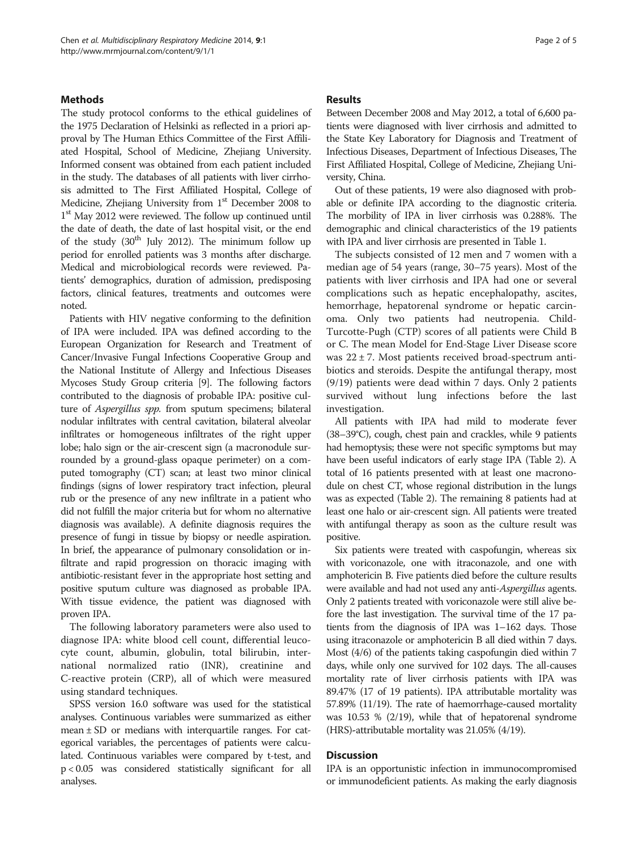# **Methods**

The study protocol conforms to the ethical guidelines of the 1975 Declaration of Helsinki as reflected in a priori approval by The Human Ethics Committee of the First Affiliated Hospital, School of Medicine, Zhejiang University. Informed consent was obtained from each patient included in the study. The databases of all patients with liver cirrhosis admitted to The First Affiliated Hospital, College of Medicine, Zhejiang University from 1<sup>st</sup> December 2008 to 1<sup>st</sup> May 2012 were reviewed. The follow up continued until the date of death, the date of last hospital visit, or the end of the study  $(30<sup>th</sup>$  July 2012). The minimum follow up period for enrolled patients was 3 months after discharge. Medical and microbiological records were reviewed. Patients' demographics, duration of admission, predisposing factors, clinical features, treatments and outcomes were noted.

Patients with HIV negative conforming to the definition of IPA were included. IPA was defined according to the European Organization for Research and Treatment of Cancer/Invasive Fungal Infections Cooperative Group and the National Institute of Allergy and Infectious Diseases Mycoses Study Group criteria [\[9\]](#page-3-0). The following factors contributed to the diagnosis of probable IPA: positive culture of Aspergillus spp. from sputum specimens; bilateral nodular infiltrates with central cavitation, bilateral alveolar infiltrates or homogeneous infiltrates of the right upper lobe; halo sign or the air-crescent sign (a macronodule surrounded by a ground-glass opaque perimeter) on a computed tomography (CT) scan; at least two minor clinical findings (signs of lower respiratory tract infection, pleural rub or the presence of any new infiltrate in a patient who did not fulfill the major criteria but for whom no alternative diagnosis was available). A definite diagnosis requires the presence of fungi in tissue by biopsy or needle aspiration. In brief, the appearance of pulmonary consolidation or infiltrate and rapid progression on thoracic imaging with antibiotic-resistant fever in the appropriate host setting and positive sputum culture was diagnosed as probable IPA. With tissue evidence, the patient was diagnosed with proven IPA.

The following laboratory parameters were also used to diagnose IPA: white blood cell count, differential leucocyte count, albumin, globulin, total bilirubin, international normalized ratio (INR), creatinine and C-reactive protein (CRP), all of which were measured using standard techniques.

SPSS version 16.0 software was used for the statistical analyses. Continuous variables were summarized as either mean  $\pm$  SD or medians with interquartile ranges. For categorical variables, the percentages of patients were calculated. Continuous variables were compared by t-test, and p < 0.05 was considered statistically significant for all analyses.

# Results

Between December 2008 and May 2012, a total of 6,600 patients were diagnosed with liver cirrhosis and admitted to the State Key Laboratory for Diagnosis and Treatment of Infectious Diseases, Department of Infectious Diseases, The First Affiliated Hospital, College of Medicine, Zhejiang University, China.

Out of these patients, 19 were also diagnosed with probable or definite IPA according to the diagnostic criteria. The morbility of IPA in liver cirrhosis was 0.288%. The demographic and clinical characteristics of the 19 patients with IPA and liver cirrhosis are presented in Table [1.](#page-2-0)

The subjects consisted of 12 men and 7 women with a median age of 54 years (range, 30–75 years). Most of the patients with liver cirrhosis and IPA had one or several complications such as hepatic encephalopathy, ascites, hemorrhage, hepatorenal syndrome or hepatic carcinoma. Only two patients had neutropenia. Child-Turcotte-Pugh (CTP) scores of all patients were Child B or C. The mean Model for End-Stage Liver Disease score was  $22 \pm 7$ . Most patients received broad-spectrum antibiotics and steroids. Despite the antifungal therapy, most (9/19) patients were dead within 7 days. Only 2 patients survived without lung infections before the last investigation.

All patients with IPA had mild to moderate fever (38–39°C), cough, chest pain and crackles, while 9 patients had hemoptysis; these were not specific symptoms but may have been useful indicators of early stage IPA (Table [2](#page-2-0)). A total of 16 patients presented with at least one macronodule on chest CT, whose regional distribution in the lungs was as expected (Table [2\)](#page-2-0). The remaining 8 patients had at least one halo or air-crescent sign. All patients were treated with antifungal therapy as soon as the culture result was positive.

Six patients were treated with caspofungin, whereas six with voriconazole, one with itraconazole, and one with amphotericin B. Five patients died before the culture results were available and had not used any anti-Aspergillus agents. Only 2 patients treated with voriconazole were still alive before the last investigation. The survival time of the 17 patients from the diagnosis of IPA was 1–162 days. Those using itraconazole or amphotericin B all died within 7 days. Most (4/6) of the patients taking caspofungin died within 7 days, while only one survived for 102 days. The all-causes mortality rate of liver cirrhosis patients with IPA was 89.47% (17 of 19 patients). IPA attributable mortality was 57.89% (11/19). The rate of haemorrhage-caused mortality was 10.53 % (2/19), while that of hepatorenal syndrome (HRS)-attributable mortality was 21.05% (4/19).

## Discussion

IPA is an opportunistic infection in immunocompromised or immunodeficient patients. As making the early diagnosis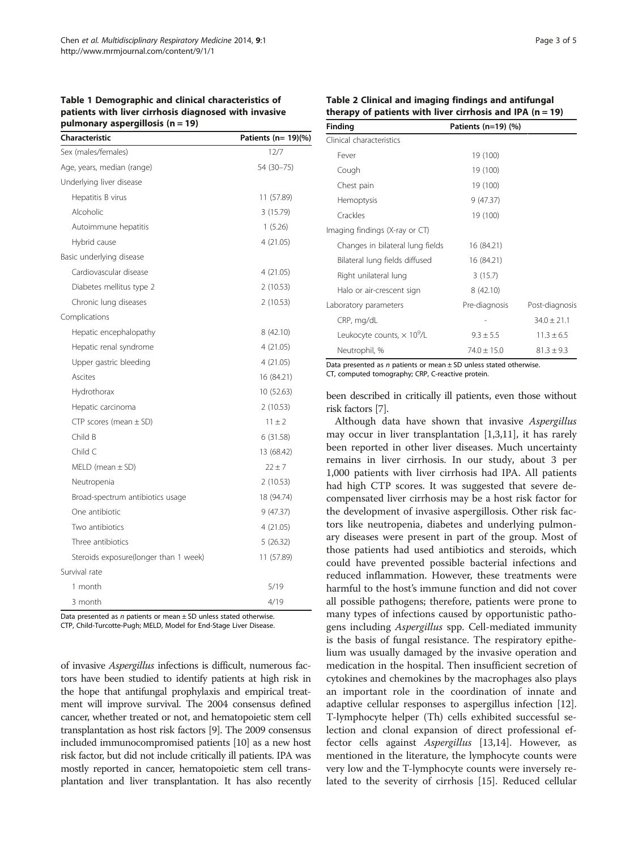## <span id="page-2-0"></span>Table 1 Demographic and clinical characteristics of patients with liver cirrhosis diagnosed with invasive pulmonary aspergillosis ( $n = 19$ )

| Characteristic                        | Patients (n= 19)(%) |
|---------------------------------------|---------------------|
| Sex (males/females)                   | 12/7                |
| Age, years, median (range)            | 54 (30-75)          |
| Underlying liver disease              |                     |
| Hepatitis B virus                     | 11 (57.89)          |
| Alcoholic                             | 3(15.79)            |
| Autoimmune hepatitis                  | 1(5.26)             |
| Hybrid cause                          | 4(21.05)            |
| Basic underlying disease              |                     |
| Cardiovascular disease                | 4 (21.05)           |
| Diabetes mellitus type 2              | 2(10.53)            |
| Chronic lung diseases                 | 2(10.53)            |
| Complications                         |                     |
| Hepatic encephalopathy                | 8(42.10)            |
| Hepatic renal syndrome                | 4(21.05)            |
| Upper gastric bleeding                | 4(21.05)            |
| Ascites                               | 16 (84.21)          |
| Hydrothorax                           | 10(52.63)           |
| Hepatic carcinoma                     | 2(10.53)            |
| CTP scores (mean $\pm$ SD)            | $11 \pm 2$          |
| Child B                               | 6(31.58)            |
| Child C                               | 13 (68.42)          |
| $MELD$ (mean $\pm$ SD)                | $22 \pm 7$          |
| Neutropenia                           | 2(10.53)            |
| Broad-spectrum antibiotics usage      | 18 (94.74)          |
| One antibiotic                        | 9 (47.37)           |
| Two antibiotics                       | 4 (21.05)           |
| Three antibiotics                     | 5(26.32)            |
| Steroids exposure(longer than 1 week) | 11 (57.89)          |
| Survival rate                         |                     |
| 1 month                               | 5/19                |
| 3 month                               | 4/19                |

Data presented as  $n$  patients or mean  $\pm$  SD unless stated otherwise. CTP, Child-Turcotte-Pugh; MELD, Model for End-Stage Liver Disease.

of invasive Aspergillus infections is difficult, numerous factors have been studied to identify patients at high risk in the hope that antifungal prophylaxis and empirical treatment will improve survival. The 2004 consensus defined cancer, whether treated or not, and hematopoietic stem cell transplantation as host risk factors [[9\]](#page-3-0). The 2009 consensus included immunocompromised patients [[10](#page-4-0)] as a new host risk factor, but did not include critically ill patients. IPA was mostly reported in cancer, hematopoietic stem cell transplantation and liver transplantation. It has also recently

|  |  | Table 2 Clinical and imaging findings and antifungal        |  |  |
|--|--|-------------------------------------------------------------|--|--|
|  |  | therapy of patients with liver cirrhosis and IPA $(n = 19)$ |  |  |

| Finding                                       | Patients (n=19) (%) |                 |
|-----------------------------------------------|---------------------|-----------------|
| Clinical characteristics                      |                     |                 |
| Fever                                         | 19 (100)            |                 |
| Cough                                         | 19 (100)            |                 |
| Chest pain                                    | 19 (100)            |                 |
| <b>Hemoptysis</b>                             | 9(47.37)            |                 |
| Crackles                                      | 19 (100)            |                 |
| Imaging findings (X-ray or CT)                |                     |                 |
| Changes in bilateral lung fields              | 16 (84.21)          |                 |
| Bilateral lung fields diffused                | 16 (84.21)          |                 |
| Right unilateral lung                         | 3(15.7)             |                 |
| Halo or air-crescent sign                     | 8(42.10)            |                 |
| Laboratory parameters                         | Pre-diagnosis       | Post-diagnosis  |
| CRP, mg/dL                                    |                     | $34.0 \pm 21.1$ |
| Leukocyte counts, $\times$ 10 <sup>9</sup> /L | $9.3 \pm 5.5$       | $11.3 \pm 6.5$  |
| Neutrophil, %                                 | $74.0 + 15.0$       | $81.3 \pm 9.3$  |

Data presented as  $n$  patients or mean  $\pm$  SD unless stated otherwise. CT, computed tomography; CRP, C-reactive protein.

been described in critically ill patients, even those without risk factors [\[7](#page-3-0)].

Although data have shown that invasive Aspergillus may occur in liver transplantation [\[1,3](#page-3-0)[,11\]](#page-4-0), it has rarely been reported in other liver diseases. Much uncertainty remains in liver cirrhosis. In our study, about 3 per 1,000 patients with liver cirrhosis had IPA. All patients had high CTP scores. It was suggested that severe decompensated liver cirrhosis may be a host risk factor for the development of invasive aspergillosis. Other risk factors like neutropenia, diabetes and underlying pulmonary diseases were present in part of the group. Most of those patients had used antibiotics and steroids, which could have prevented possible bacterial infections and reduced inflammation. However, these treatments were harmful to the host's immune function and did not cover all possible pathogens; therefore, patients were prone to many types of infections caused by opportunistic pathogens including Aspergillus spp. Cell-mediated immunity is the basis of fungal resistance. The respiratory epithelium was usually damaged by the invasive operation and medication in the hospital. Then insufficient secretion of cytokines and chemokines by the macrophages also plays an important role in the coordination of innate and adaptive cellular responses to aspergillus infection [\[12](#page-4-0)]. T-lymphocyte helper (Th) cells exhibited successful selection and clonal expansion of direct professional effector cells against Aspergillus [[13,14\]](#page-4-0). However, as mentioned in the literature, the lymphocyte counts were very low and the T-lymphocyte counts were inversely related to the severity of cirrhosis [[15](#page-4-0)]. Reduced cellular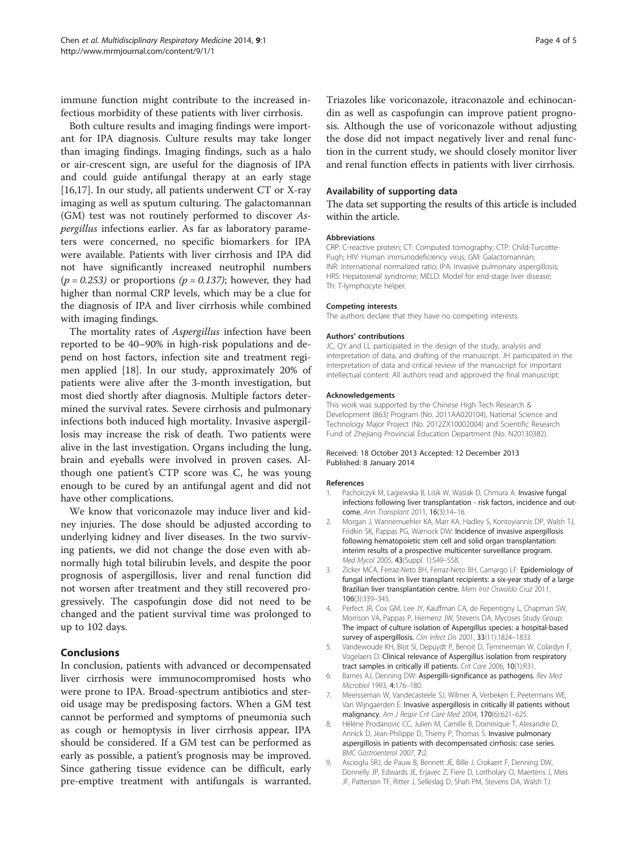<span id="page-3-0"></span>immune function might contribute to the increased infectious morbidity of these patients with liver cirrhosis.

Both culture results and imaging findings were important for IPA diagnosis. Culture results may take longer than imaging findings. Imaging findings, such as a halo or air-crescent sign, are useful for the diagnosis of IPA and could guide antifungal therapy at an early stage [[16,17\]](#page-4-0). In our study, all patients underwent CT or X-ray imaging as well as sputum culturing. The galactomannan (GM) test was not routinely performed to discover Aspergillus infections earlier. As far as laboratory parameters were concerned, no specific biomarkers for IPA were available. Patients with liver cirrhosis and IPA did not have significantly increased neutrophil numbers  $(p = 0.253)$  or proportions  $(p = 0.137)$ ; however, they had higher than normal CRP levels, which may be a clue for the diagnosis of IPA and liver cirrhosis while combined with imaging findings.

The mortality rates of Aspergillus infection have been reported to be 40–90% in high-risk populations and depend on host factors, infection site and treatment regimen applied [[18\]](#page-4-0). In our study, approximately 20% of patients were alive after the 3-month investigation, but most died shortly after diagnosis. Multiple factors determined the survival rates. Severe cirrhosis and pulmonary infections both induced high mortality. Invasive aspergillosis may increase the risk of death. Two patients were alive in the last investigation. Organs including the lung, brain and eyeballs were involved in proven cases. Although one patient's CTP score was C, he was young enough to be cured by an antifungal agent and did not have other complications.

We know that voriconazole may induce liver and kidney injuries. The dose should be adjusted according to underlying kidney and liver diseases. In the two surviving patients, we did not change the dose even with abnormally high total bilirubin levels, and despite the poor prognosis of aspergillosis, liver and renal function did not worsen after treatment and they still recovered progressively. The caspofungin dose did not need to be changed and the patient survival time was prolonged to up to 102 days.

# Conclusions

In conclusion, patients with advanced or decompensated liver cirrhosis were immunocompromised hosts who were prone to IPA. Broad-spectrum antibiotics and steroid usage may be predisposing factors. When a GM test cannot be performed and symptoms of pneumonia such as cough or hemoptysis in liver cirrhosis appear, IPA should be considered. If a GM test can be performed as early as possible, a patient's prognosis may be improved. Since gathering tissue evidence can be difficult, early pre-emptive treatment with antifungals is warranted. Triazoles like voriconazole, itraconazole and echinocandin as well as caspofungin can improve patient prognosis. Although the use of voriconazole without adjusting the dose did not impact negatively liver and renal function in the current study, we should closely monitor liver and renal function effects in patients with liver cirrhosis.

### Availability of supporting data

The data set supporting the results of this article is included within the article.

#### Abbreviations

CRP: C-reactive protein; CT: Computed tomography; CTP: Child-Turcotte-Pugh; HIV: Human immunodeficiency virus; GM: Galactomannan; INR: International normalized ratio; IPA: Invasive pulmonary aspergillosis; HRS: Hepatorenal syndrome; MELD: Model for end-stage liver disease; Th: T-lymphocyte helper.

#### Competing interests

The authors declare that they have no competing interests.

#### Authors' contributions

JC, QY and LL participated in the design of the study, analysis and interpretation of data, and drafting of the manuscript. JH participated in the interpretation of data and critical review of the manuscript for important intellectual content. All authors read and approved the final manuscript.

#### Acknowledgements

This work was supported by the Chinese High Tech Research & Development (863) Program (No. 2011AA020104), National Science and Technology Major Project (No. 2012ZX10002004) and Scientific Research Fund of Zhejiang Provincial Education Department (No. N20130382).

#### Received: 18 October 2013 Accepted: 12 December 2013 Published: 8 January 2014

#### References

- 1. Pacholczyk M, Lagiewska B, Lisik W, Wasiak D, Chmura A: Invasive fungal infections following liver transplantation - risk factors, incidence and outcome. Ann Transplant 2011, 16(3):14–16.
- 2. Morgan J, Wannemuehler KA, Marr KA, Hadley S, Kontoyiannis DP, Walsh TJ, Fridkin SK, Pappas PG, Warnock DW: Incidence of invasive aspergillosis following hematopoietic stem cell and solid organ transplantation: interim results of a prospective multicenter surveillance program. Med Mycol 2005, 43(Suppl. 1):S49–S58.
- 3. Zicker MCA, Ferraz-Neto BH, Ferraz-Neto BH, Camargo LF: Epidemiology of fungal infections in liver transplant recipients: a six-year study of a large Brazilian liver transplantation centre. Mem Inst Oswaldo Cruz 2011, 106(3):339–345.
- 4. Perfect JR, Cox GM, Lee JY, Kauffman CA, de Repentigny L, Chapman SW, Morrison VA, Pappas P, Hiemenz JW, Stevens DA, Mycoses Study Group: The impact of culture isolation of Aspergillus species: a hospital-based survey of aspergillosis. Clin Infect Dis 2001, 33(11):1824-1833.
- 5. Vandewoude KH, Blot SI, Depuydt P, Benoit D, Temmerman W, Colardyn F, Vogelaers D: Clinical relevance of Aspergillus isolation from respiratory tract samples in critically ill patients. Crit Care 2006, 10(1):R31.
- 6. Barnes AJ, Denning DW: Aspergilli-significance as pathogens. Rev Med Microbiol 1993, 4:176–180.
- 7. Meersseman W, Vandecasteele SJ, Wilmer A, Verbeken E, Peetermans WE, Van Wijngaerden E: Invasive aspergillosis in critically ill patients without malignancy. Am J Respir Crit Care Med 2004, 170(6):621–625.
- 8. Hélène Prodanovic CC, Julien M, Camille B, Dominique T, Alexandre D, Annick D, Jean-Philippe D, Thierry P, Thomas S: Invasive pulmonary aspergillosis in patients with decompensated cirrhosis: case series. BMC Gastroenterol 2007, 7:2.
- 9. Ascioglu SRJ, de Pauw B, Bennett JE, Bille J, Crokaert F, Denning DW, Donnelly JP, Edwards JE, Erjavec Z, Fiere D, Lortholary O, Maertens J, Meis JF, Patterson TF, Ritter J, Selleslag D, Shah PM, Stevens DA, Walsh TJ: